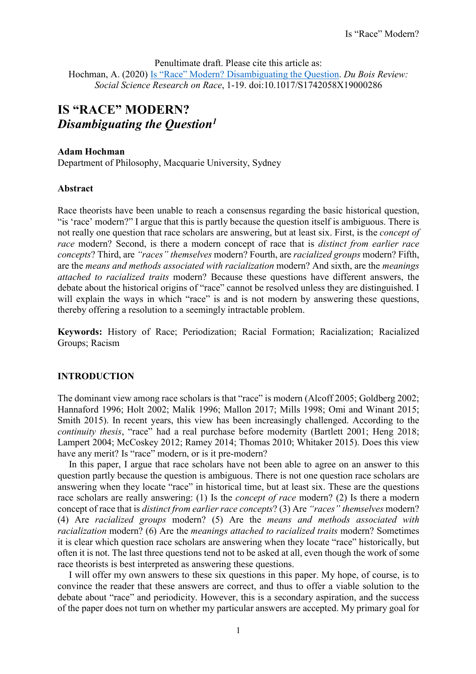Penultimate draft. Please cite this article as: Hochman, A. (2020) Is "Race" Modern? Disambiguating the Question. Du Bois Review: Social Science Research on Race, 1-19. doi:10.1017/S1742058X19000286

# IS "RACE" MODERN? Disambiguating the Question<sup>1</sup>

## Adam Hochman

Department of Philosophy, Macquarie University, Sydney

## Abstract

Race theorists have been unable to reach a consensus regarding the basic historical question, "is 'race' modern?" I argue that this is partly because the question itself is ambiguous. There is not really one question that race scholars are answering, but at least six. First, is the concept of race modern? Second, is there a modern concept of race that is *distinct from earlier race* concepts? Third, are "races" themselves modern? Fourth, are racialized groups modern? Fifth, are the means and methods associated with racialization modern? And sixth, are the meanings attached to racialized traits modern? Because these questions have different answers, the debate about the historical origins of "race" cannot be resolved unless they are distinguished. I will explain the ways in which "race" is and is not modern by answering these questions, thereby offering a resolution to a seemingly intractable problem.

Keywords: History of Race; Periodization; Racial Formation; Racialization; Racialized Groups; Racism

# INTRODUCTION

The dominant view among race scholars is that "race" is modern (Alcoff 2005; Goldberg 2002; Hannaford 1996; Holt 2002; Malik 1996; Mallon 2017; Mills 1998; Omi and Winant 2015; Smith 2015). In recent years, this view has been increasingly challenged. According to the continuity thesis, "race" had a real purchase before modernity (Bartlett 2001; Heng 2018; Lampert 2004; McCoskey 2012; Ramey 2014; Thomas 2010; Whitaker 2015). Does this view have any merit? Is "race" modern, or is it pre-modern?

In this paper, I argue that race scholars have not been able to agree on an answer to this question partly because the question is ambiguous. There is not one question race scholars are answering when they locate "race" in historical time, but at least six. These are the questions race scholars are really answering: (1) Is the *concept of race* modern? (2) Is there a modern concept of race that is distinct from earlier race concepts? (3) Are "races" themselves modern? (4) Are racialized groups modern? (5) Are the means and methods associated with racialization modern? (6) Are the meanings attached to racialized traits modern? Sometimes it is clear which question race scholars are answering when they locate "race" historically, but often it is not. The last three questions tend not to be asked at all, even though the work of some race theorists is best interpreted as answering these questions.

I will offer my own answers to these six questions in this paper. My hope, of course, is to convince the reader that these answers are correct, and thus to offer a viable solution to the debate about "race" and periodicity. However, this is a secondary aspiration, and the success of the paper does not turn on whether my particular answers are accepted. My primary goal for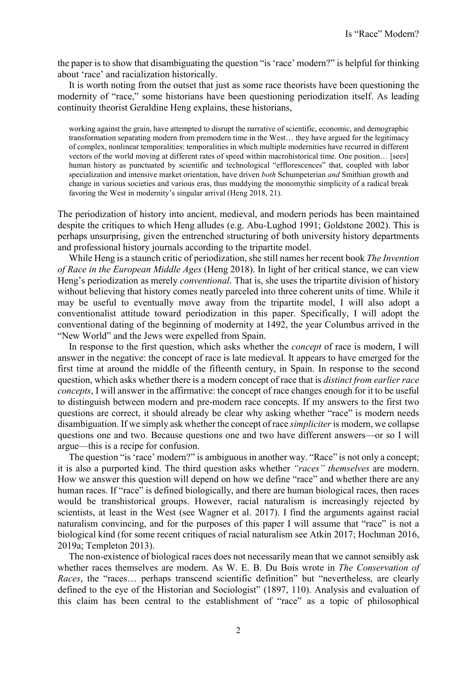the paper is to show that disambiguating the question "is 'race' modern?" is helpful for thinking about 'race' and racialization historically.

It is worth noting from the outset that just as some race theorists have been questioning the modernity of "race," some historians have been questioning periodization itself. As leading continuity theorist Geraldine Heng explains, these historians,

working against the grain, have attempted to disrupt the narrative of scientific, economic, and demographic transformation separating modern from premodern time in the West… they have argued for the legitimacy of complex, nonlinear temporalities: temporalities in which multiple modernities have recurred in different vectors of the world moving at different rates of speed within macrohistorical time. One position… [sees] human history as punctuated by scientific and technological "efflorescences" that, coupled with labor specialization and intensive market orientation, have driven both Schumpeterian and Smithian growth and change in various societies and various eras, thus muddying the monomythic simplicity of a radical break favoring the West in modernity's singular arrival (Heng 2018, 21).

The periodization of history into ancient, medieval, and modern periods has been maintained despite the critiques to which Heng alludes (e.g. Abu-Lughod 1991; Goldstone 2002). This is perhaps unsurprising, given the entrenched structuring of both university history departments and professional history journals according to the tripartite model.

While Heng is a staunch critic of periodization, she still names her recent book *The Invention* of Race in the European Middle Ages (Heng 2018). In light of her critical stance, we can view Heng's periodization as merely *conventional*. That is, she uses the tripartite division of history without believing that history comes neatly parceled into three coherent units of time. While it may be useful to eventually move away from the tripartite model, I will also adopt a conventionalist attitude toward periodization in this paper. Specifically, I will adopt the conventional dating of the beginning of modernity at 1492, the year Columbus arrived in the "New World" and the Jews were expelled from Spain.

In response to the first question, which asks whether the *concept* of race is modern, I will answer in the negative: the concept of race is late medieval. It appears to have emerged for the first time at around the middle of the fifteenth century, in Spain. In response to the second question, which asks whether there is a modern concept of race that is distinct from earlier race concepts, I will answer in the affirmative: the concept of race changes enough for it to be useful to distinguish between modern and pre-modern race concepts. If my answers to the first two questions are correct, it should already be clear why asking whether "race" is modern needs disambiguation. If we simply ask whether the concept of race *simpliciter* is modern, we collapse questions one and two. Because questions one and two have different answers—or so I will argue—this is a recipe for confusion.

The question "is 'race' modern?" is ambiguous in another way. "Race" is not only a concept; it is also a purported kind. The third question asks whether "races" themselves are modern. How we answer this question will depend on how we define "race" and whether there are any human races. If "race" is defined biologically, and there are human biological races, then races would be transhistorical groups. However, racial naturalism is increasingly rejected by scientists, at least in the West (see Wagner et al. 2017). I find the arguments against racial naturalism convincing, and for the purposes of this paper I will assume that "race" is not a biological kind (for some recent critiques of racial naturalism see Atkin 2017; Hochman 2016, 2019a; Templeton 2013).

The non-existence of biological races does not necessarily mean that we cannot sensibly ask whether races themselves are modern. As W. E. B. Du Bois wrote in The Conservation of Races, the "races… perhaps transcend scientific definition" but "nevertheless, are clearly defined to the eye of the Historian and Sociologist" (1897, 110). Analysis and evaluation of this claim has been central to the establishment of "race" as a topic of philosophical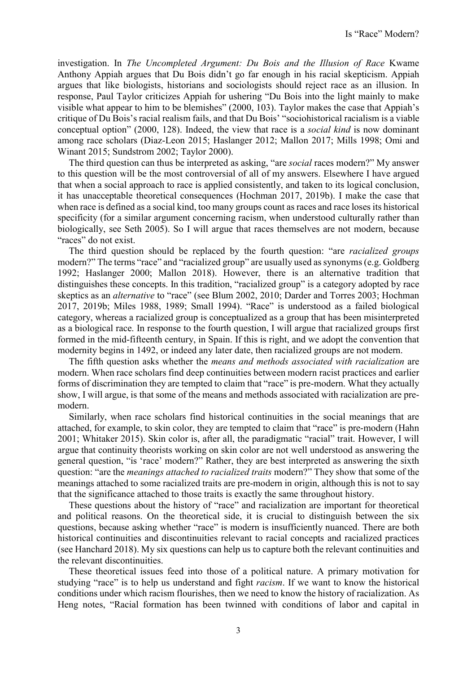investigation. In The Uncompleted Argument: Du Bois and the Illusion of Race Kwame Anthony Appiah argues that Du Bois didn't go far enough in his racial skepticism. Appiah argues that like biologists, historians and sociologists should reject race as an illusion. In response, Paul Taylor criticizes Appiah for ushering "Du Bois into the light mainly to make visible what appear to him to be blemishes" (2000, 103). Taylor makes the case that Appiah's critique of Du Bois's racial realism fails, and that Du Bois' "sociohistorical racialism is a viable conceptual option" (2000, 128). Indeed, the view that race is a social kind is now dominant among race scholars (Diaz-Leon 2015; Haslanger 2012; Mallon 2017; Mills 1998; Omi and Winant 2015; Sundstrom 2002; Taylor 2000).

The third question can thus be interpreted as asking, "are social races modern?" My answer to this question will be the most controversial of all of my answers. Elsewhere I have argued that when a social approach to race is applied consistently, and taken to its logical conclusion, it has unacceptable theoretical consequences (Hochman 2017, 2019b). I make the case that when race is defined as a social kind, too many groups count as races and race loses its historical specificity (for a similar argument concerning racism, when understood culturally rather than biologically, see Seth 2005). So I will argue that races themselves are not modern, because "races" do not exist.

The third question should be replaced by the fourth question: "are racialized groups modern?" The terms "race" and "racialized group" are usually used as synonyms (e.g. Goldberg 1992; Haslanger 2000; Mallon 2018). However, there is an alternative tradition that distinguishes these concepts. In this tradition, "racialized group" is a category adopted by race skeptics as an alternative to "race" (see Blum 2002, 2010; Darder and Torres 2003; Hochman 2017, 2019b; Miles 1988, 1989; Small 1994). "Race" is understood as a failed biological category, whereas a racialized group is conceptualized as a group that has been misinterpreted as a biological race. In response to the fourth question, I will argue that racialized groups first formed in the mid-fifteenth century, in Spain. If this is right, and we adopt the convention that modernity begins in 1492, or indeed any later date, then racialized groups are not modern.

The fifth question asks whether the *means and methods associated with racialization* are modern. When race scholars find deep continuities between modern racist practices and earlier forms of discrimination they are tempted to claim that "race" is pre-modern. What they actually show, I will argue, is that some of the means and methods associated with racialization are premodern.

Similarly, when race scholars find historical continuities in the social meanings that are attached, for example, to skin color, they are tempted to claim that "race" is pre-modern (Hahn 2001; Whitaker 2015). Skin color is, after all, the paradigmatic "racial" trait. However, I will argue that continuity theorists working on skin color are not well understood as answering the general question, "is 'race' modern?" Rather, they are best interpreted as answering the sixth question: "are the *meanings attached to racialized traits* modern?" They show that some of the meanings attached to some racialized traits are pre-modern in origin, although this is not to say that the significance attached to those traits is exactly the same throughout history.

These questions about the history of "race" and racialization are important for theoretical and political reasons. On the theoretical side, it is crucial to distinguish between the six questions, because asking whether "race" is modern is insufficiently nuanced. There are both historical continuities and discontinuities relevant to racial concepts and racialized practices (see Hanchard 2018). My six questions can help us to capture both the relevant continuities and the relevant discontinuities.

These theoretical issues feed into those of a political nature. A primary motivation for studying "race" is to help us understand and fight *racism*. If we want to know the historical conditions under which racism flourishes, then we need to know the history of racialization. As Heng notes, "Racial formation has been twinned with conditions of labor and capital in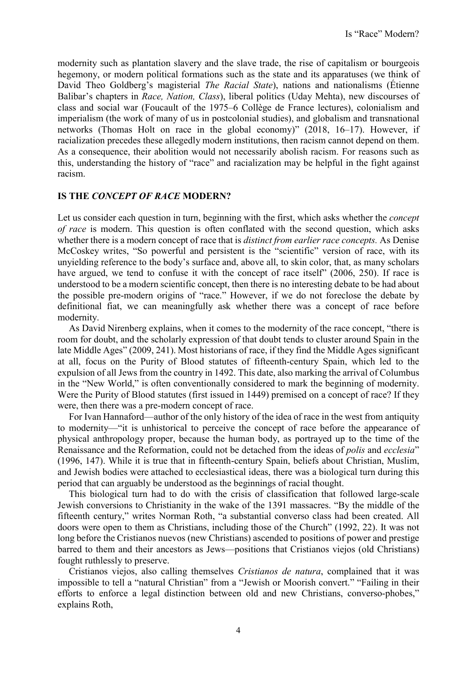modernity such as plantation slavery and the slave trade, the rise of capitalism or bourgeois hegemony, or modern political formations such as the state and its apparatuses (we think of David Theo Goldberg's magisterial *The Racial State*), nations and nationalisms (Étienne Balibar's chapters in Race, Nation, Class), liberal politics (Uday Mehta), new discourses of class and social war (Foucault of the 1975–6 Collège de France lectures), colonialism and imperialism (the work of many of us in postcolonial studies), and globalism and transnational networks (Thomas Holt on race in the global economy)" (2018, 16–17). However, if racialization precedes these allegedly modern institutions, then racism cannot depend on them. As a consequence, their abolition would not necessarily abolish racism. For reasons such as this, understanding the history of "race" and racialization may be helpful in the fight against racism.

#### IS THE CONCEPT OF RACE MODERN?

Let us consider each question in turn, beginning with the first, which asks whether the *concept* of race is modern. This question is often conflated with the second question, which asks whether there is a modern concept of race that is *distinct from earlier race concepts*. As Denise McCoskey writes, "So powerful and persistent is the "scientific" version of race, with its unyielding reference to the body's surface and, above all, to skin color, that, as many scholars have argued, we tend to confuse it with the concept of race itself" (2006, 250). If race is understood to be a modern scientific concept, then there is no interesting debate to be had about the possible pre-modern origins of "race." However, if we do not foreclose the debate by definitional fiat, we can meaningfully ask whether there was a concept of race before modernity.

As David Nirenberg explains, when it comes to the modernity of the race concept, "there is room for doubt, and the scholarly expression of that doubt tends to cluster around Spain in the late Middle Ages" (2009, 241). Most historians of race, if they find the Middle Ages significant at all, focus on the Purity of Blood statutes of fifteenth-century Spain, which led to the expulsion of all Jews from the country in 1492. This date, also marking the arrival of Columbus in the "New World," is often conventionally considered to mark the beginning of modernity. Were the Purity of Blood statutes (first issued in 1449) premised on a concept of race? If they were, then there was a pre-modern concept of race.

For Ivan Hannaford—author of the only history of the idea of race in the west from antiquity to modernity—"it is unhistorical to perceive the concept of race before the appearance of physical anthropology proper, because the human body, as portrayed up to the time of the Renaissance and the Reformation, could not be detached from the ideas of *polis* and *ecclesia*" (1996, 147). While it is true that in fifteenth-century Spain, beliefs about Christian, Muslim, and Jewish bodies were attached to ecclesiastical ideas, there was a biological turn during this period that can arguably be understood as the beginnings of racial thought.

This biological turn had to do with the crisis of classification that followed large-scale Jewish conversions to Christianity in the wake of the 1391 massacres. "By the middle of the fifteenth century," writes Norman Roth, "a substantial converso class had been created. All doors were open to them as Christians, including those of the Church" (1992, 22). It was not long before the Cristianos nuevos (new Christians) ascended to positions of power and prestige barred to them and their ancestors as Jews—positions that Cristianos viejos (old Christians) fought ruthlessly to preserve.

Cristianos viejos, also calling themselves Cristianos de natura, complained that it was impossible to tell a "natural Christian" from a "Jewish or Moorish convert." "Failing in their efforts to enforce a legal distinction between old and new Christians, converso-phobes," explains Roth,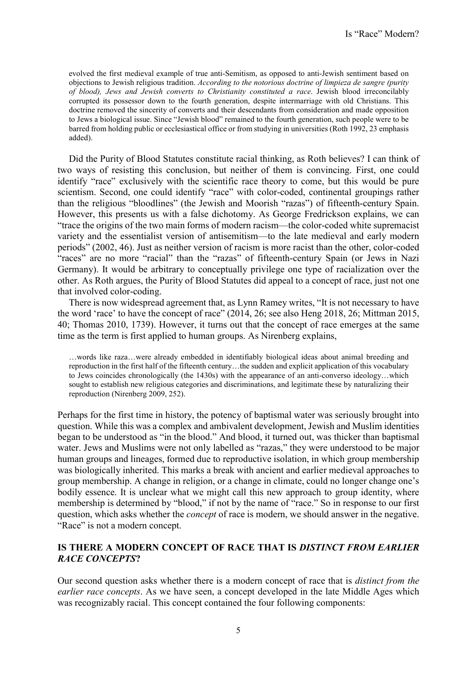evolved the first medieval example of true anti-Semitism, as opposed to anti-Jewish sentiment based on objections to Jewish religious tradition. According to the notorious doctrine of limpieza de sangre (purity of blood), Jews and Jewish converts to Christianity constituted a race. Jewish blood irreconcilably corrupted its possessor down to the fourth generation, despite intermarriage with old Christians. This doctrine removed the sincerity of converts and their descendants from consideration and made opposition to Jews a biological issue. Since "Jewish blood" remained to the fourth generation, such people were to be barred from holding public or ecclesiastical office or from studying in universities (Roth 1992, 23 emphasis added).

Did the Purity of Blood Statutes constitute racial thinking, as Roth believes? I can think of two ways of resisting this conclusion, but neither of them is convincing. First, one could identify "race" exclusively with the scientific race theory to come, but this would be pure scientism. Second, one could identify "race" with color-coded, continental groupings rather than the religious "bloodlines" (the Jewish and Moorish "razas") of fifteenth-century Spain. However, this presents us with a false dichotomy. As George Fredrickson explains, we can "trace the origins of the two main forms of modern racism—the color-coded white supremacist variety and the essentialist version of antisemitism—to the late medieval and early modern periods" (2002, 46). Just as neither version of racism is more racist than the other, color-coded "races" are no more "racial" than the "razas" of fifteenth-century Spain (or Jews in Nazi Germany). It would be arbitrary to conceptually privilege one type of racialization over the other. As Roth argues, the Purity of Blood Statutes did appeal to a concept of race, just not one that involved color-coding.

There is now widespread agreement that, as Lynn Ramey writes, "It is not necessary to have the word 'race' to have the concept of race" (2014, 26; see also Heng 2018, 26; Mittman 2015, 40; Thomas 2010, 1739). However, it turns out that the concept of race emerges at the same time as the term is first applied to human groups. As Nirenberg explains,

…words like raza…were already embedded in identifiably biological ideas about animal breeding and reproduction in the first half of the fifteenth century…the sudden and explicit application of this vocabulary to Jews coincides chronologically (the 1430s) with the appearance of an anti-converso ideology…which sought to establish new religious categories and discriminations, and legitimate these by naturalizing their reproduction (Nirenberg 2009, 252).

Perhaps for the first time in history, the potency of baptismal water was seriously brought into question. While this was a complex and ambivalent development, Jewish and Muslim identities began to be understood as "in the blood." And blood, it turned out, was thicker than baptismal water. Jews and Muslims were not only labelled as "razas," they were understood to be major human groups and lineages, formed due to reproductive isolation, in which group membership was biologically inherited. This marks a break with ancient and earlier medieval approaches to group membership. A change in religion, or a change in climate, could no longer change one's bodily essence. It is unclear what we might call this new approach to group identity, where membership is determined by "blood," if not by the name of "race." So in response to our first question, which asks whether the *concept* of race is modern, we should answer in the negative. "Race" is not a modern concept.

## IS THERE A MODERN CONCEPT OF RACE THAT IS DISTINCT FROM EARLIER RACE CONCEPTS?

Our second question asks whether there is a modern concept of race that is distinct from the earlier race concepts. As we have seen, a concept developed in the late Middle Ages which was recognizably racial. This concept contained the four following components: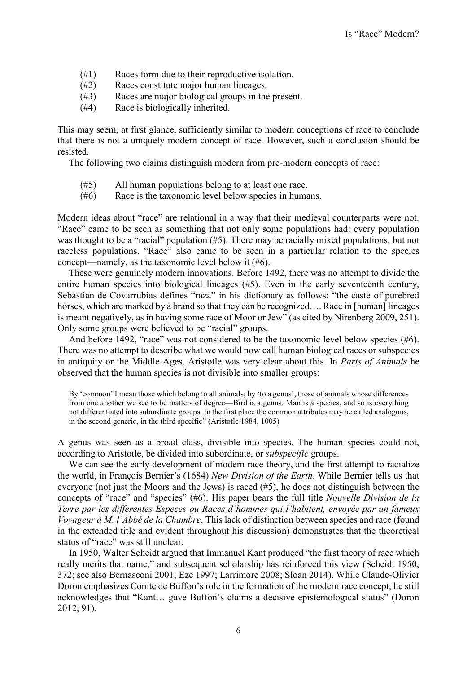- (#1) Races form due to their reproductive isolation.
- (#2) Races constitute major human lineages.
- (#3) Races are major biological groups in the present.
- (#4) Race is biologically inherited.

This may seem, at first glance, sufficiently similar to modern conceptions of race to conclude that there is not a uniquely modern concept of race. However, such a conclusion should be resisted.

The following two claims distinguish modern from pre-modern concepts of race:

- (#5) All human populations belong to at least one race.
- (#6) Race is the taxonomic level below species in humans.

Modern ideas about "race" are relational in a way that their medieval counterparts were not. "Race" came to be seen as something that not only some populations had: every population was thought to be a "racial" population (#5). There may be racially mixed populations, but not raceless populations. "Race" also came to be seen in a particular relation to the species concept—namely, as the taxonomic level below it (#6).

These were genuinely modern innovations. Before 1492, there was no attempt to divide the entire human species into biological lineages (#5). Even in the early seventeenth century, Sebastian de Covarrubias defines "raza" in his dictionary as follows: "the caste of purebred horses, which are marked by a brand so that they can be recognized.... Race in [human] lineages is meant negatively, as in having some race of Moor or Jew" (as cited by Nirenberg 2009, 251). Only some groups were believed to be "racial" groups.

And before 1492, "race" was not considered to be the taxonomic level below species (#6). There was no attempt to describe what we would now call human biological races or subspecies in antiquity or the Middle Ages. Aristotle was very clear about this. In Parts of Animals he observed that the human species is not divisible into smaller groups:

By 'common' I mean those which belong to all animals; by 'to a genus', those of animals whose differences from one another we see to be matters of degree—Bird is a genus. Man is a species, and so is everything not differentiated into subordinate groups. In the first place the common attributes may be called analogous, in the second generic, in the third specific" (Aristotle 1984, 1005)

A genus was seen as a broad class, divisible into species. The human species could not, according to Aristotle, be divided into subordinate, or subspecific groups.

We can see the early development of modern race theory, and the first attempt to racialize the world, in François Bernier's (1684) New Division of the Earth. While Bernier tells us that everyone (not just the Moors and the Jews) is raced (#5), he does not distinguish between the concepts of "race" and "species" (#6). His paper bears the full title Nouvelle Division de la Terre par les differentes Especes ou Races d'hommes qui l'habitent, envoyée par un fameux Voyageur à M. l'Abbé de la Chambre. This lack of distinction between species and race (found in the extended title and evident throughout his discussion) demonstrates that the theoretical status of "race" was still unclear.

In 1950, Walter Scheidt argued that Immanuel Kant produced "the first theory of race which really merits that name," and subsequent scholarship has reinforced this view (Scheidt 1950, 372; see also Bernasconi 2001; Eze 1997; Larrimore 2008; Sloan 2014). While Claude-Olivier Doron emphasizes Comte de Buffon's role in the formation of the modern race concept, he still acknowledges that "Kant… gave Buffon's claims a decisive epistemological status" (Doron 2012, 91).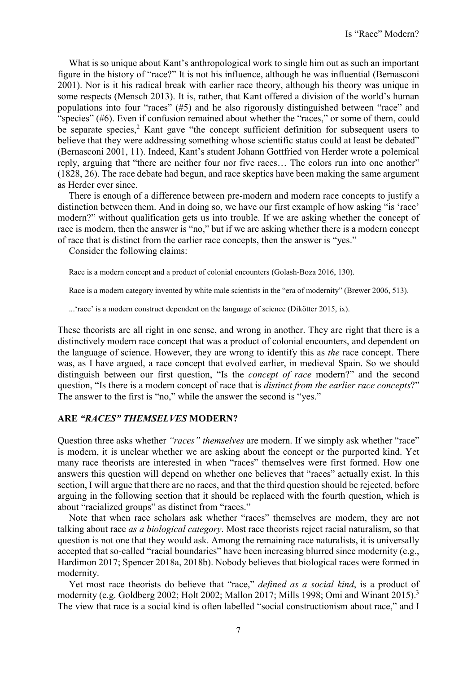What is so unique about Kant's anthropological work to single him out as such an important figure in the history of "race?" It is not his influence, although he was influential (Bernasconi 2001). Nor is it his radical break with earlier race theory, although his theory was unique in some respects (Mensch 2013). It is, rather, that Kant offered a division of the world's human populations into four "races" (#5) and he also rigorously distinguished between "race" and "species" (#6). Even if confusion remained about whether the "races," or some of them, could be separate species,<sup>2</sup> Kant gave "the concept sufficient definition for subsequent users to believe that they were addressing something whose scientific status could at least be debated" (Bernasconi 2001, 11). Indeed, Kant's student Johann Gottfried von Herder wrote a polemical reply, arguing that "there are neither four nor five races… The colors run into one another" (1828, 26). The race debate had begun, and race skeptics have been making the same argument as Herder ever since.

There is enough of a difference between pre-modern and modern race concepts to justify a distinction between them. And in doing so, we have our first example of how asking "is 'race' modern?" without qualification gets us into trouble. If we are asking whether the concept of race is modern, then the answer is "no," but if we are asking whether there is a modern concept of race that is distinct from the earlier race concepts, then the answer is "yes."

Consider the following claims:

Race is a modern concept and a product of colonial encounters (Golash-Boza 2016, 130).

Race is a modern category invented by white male scientists in the "era of modernity" (Brewer 2006, 513).

...'race' is a modern construct dependent on the language of science (Dikötter 2015, ix).

These theorists are all right in one sense, and wrong in another. They are right that there is a distinctively modern race concept that was a product of colonial encounters, and dependent on the language of science. However, they are wrong to identify this as the race concept. There was, as I have argued, a race concept that evolved earlier, in medieval Spain. So we should distinguish between our first question, "Is the *concept of race* modern?" and the second question, "Is there is a modern concept of race that is distinct from the earlier race concepts?" The answer to the first is "no," while the answer the second is "yes."

# ARE "RACES" THEMSELVES MODERN?

Question three asks whether "races" themselves are modern. If we simply ask whether "race" is modern, it is unclear whether we are asking about the concept or the purported kind. Yet many race theorists are interested in when "races" themselves were first formed. How one answers this question will depend on whether one believes that "races" actually exist. In this section, I will argue that there are no races, and that the third question should be rejected, before arguing in the following section that it should be replaced with the fourth question, which is about "racialized groups" as distinct from "races."

Note that when race scholars ask whether "races" themselves are modern, they are not talking about race as a biological category. Most race theorists reject racial naturalism, so that question is not one that they would ask. Among the remaining race naturalists, it is universally accepted that so-called "racial boundaries" have been increasing blurred since modernity (e.g., Hardimon 2017; Spencer 2018a, 2018b). Nobody believes that biological races were formed in modernity.

Yet most race theorists do believe that "race," *defined as a social kind*, is a product of modernity (e.g. Goldberg 2002; Holt 2002; Mallon 2017; Mills 1998; Omi and Winant 2015).<sup>3</sup> The view that race is a social kind is often labelled "social constructionism about race," and I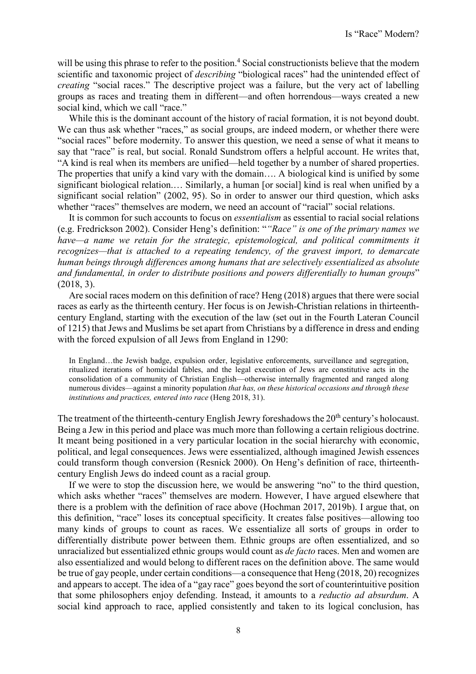will be using this phrase to refer to the position.<sup>4</sup> Social constructionists believe that the modern scientific and taxonomic project of *describing* "biological races" had the unintended effect of creating "social races." The descriptive project was a failure, but the very act of labelling groups as races and treating them in different—and often horrendous—ways created a new social kind, which we call "race."

While this is the dominant account of the history of racial formation, it is not beyond doubt. We can thus ask whether "races," as social groups, are indeed modern, or whether there were "social races" before modernity. To answer this question, we need a sense of what it means to say that "race" is real, but social. Ronald Sundstrom offers a helpful account. He writes that, "A kind is real when its members are unified—held together by a number of shared properties. The properties that unify a kind vary with the domain…. A biological kind is unified by some significant biological relation.… Similarly, a human [or social] kind is real when unified by a significant social relation" (2002, 95). So in order to answer our third question, which asks whether "races" themselves are modern, we need an account of "racial" social relations.

It is common for such accounts to focus on essentialism as essential to racial social relations (e.g. Fredrickson 2002). Consider Heng's definition: ""Race" is one of the primary names we have—a name we retain for the strategic, epistemological, and political commitments it recognizes—that is attached to a repeating tendency, of the gravest import, to demarcate human beings through differences among humans that are selectively essentialized as absolute and fundamental, in order to distribute positions and powers differentially to human groups" (2018, 3).

Are social races modern on this definition of race? Heng (2018) argues that there were social races as early as the thirteenth century. Her focus is on Jewish-Christian relations in thirteenthcentury England, starting with the execution of the law (set out in the Fourth Lateran Council of 1215) that Jews and Muslims be set apart from Christians by a difference in dress and ending with the forced expulsion of all Jews from England in 1290:

In England…the Jewish badge, expulsion order, legislative enforcements, surveillance and segregation, ritualized iterations of homicidal fables, and the legal execution of Jews are constitutive acts in the consolidation of a community of Christian English—otherwise internally fragmented and ranged along numerous divides—against a minority population that has, on these historical occasions and through these institutions and practices, entered into race (Heng 2018, 31).

The treatment of the thirteenth-century English Jewry foreshadows the  $20<sup>th</sup>$  century's holocaust. Being a Jew in this period and place was much more than following a certain religious doctrine. It meant being positioned in a very particular location in the social hierarchy with economic, political, and legal consequences. Jews were essentialized, although imagined Jewish essences could transform though conversion (Resnick 2000). On Heng's definition of race, thirteenthcentury English Jews do indeed count as a racial group.

If we were to stop the discussion here, we would be answering "no" to the third question, which asks whether "races" themselves are modern. However, I have argued elsewhere that there is a problem with the definition of race above (Hochman 2017, 2019b). I argue that, on this definition, "race" loses its conceptual specificity. It creates false positives—allowing too many kinds of groups to count as races. We essentialize all sorts of groups in order to differentially distribute power between them. Ethnic groups are often essentialized, and so unracialized but essentialized ethnic groups would count as *de facto* races. Men and women are also essentialized and would belong to different races on the definition above. The same would be true of gay people, under certain conditions—a consequence that Heng (2018, 20) recognizes and appears to accept. The idea of a "gay race" goes beyond the sort of counterintuitive position that some philosophers enjoy defending. Instead, it amounts to a reductio ad absurdum. A social kind approach to race, applied consistently and taken to its logical conclusion, has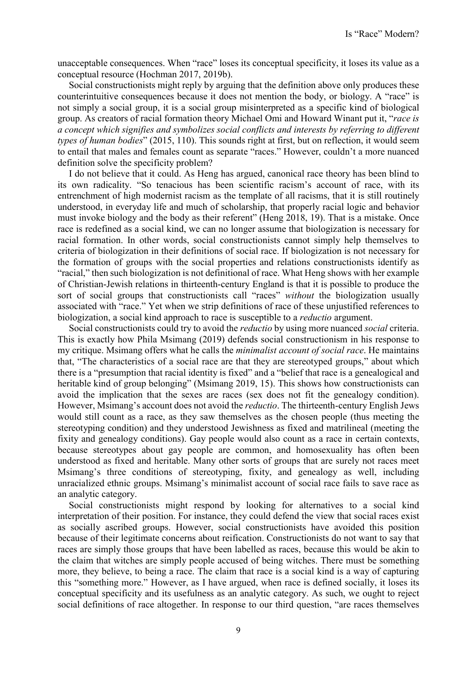unacceptable consequences. When "race" loses its conceptual specificity, it loses its value as a conceptual resource (Hochman 2017, 2019b).

Social constructionists might reply by arguing that the definition above only produces these counterintuitive consequences because it does not mention the body, or biology. A "race" is not simply a social group, it is a social group misinterpreted as a specific kind of biological group. As creators of racial formation theory Michael Omi and Howard Winant put it, "race is a concept which signifies and symbolizes social conflicts and interests by referring to different types of human bodies" (2015, 110). This sounds right at first, but on reflection, it would seem to entail that males and females count as separate "races." However, couldn't a more nuanced definition solve the specificity problem?

I do not believe that it could. As Heng has argued, canonical race theory has been blind to its own radicality. "So tenacious has been scientific racism's account of race, with its entrenchment of high modernist racism as the template of all racisms, that it is still routinely understood, in everyday life and much of scholarship, that properly racial logic and behavior must invoke biology and the body as their referent" (Heng 2018, 19). That is a mistake. Once race is redefined as a social kind, we can no longer assume that biologization is necessary for racial formation. In other words, social constructionists cannot simply help themselves to criteria of biologization in their definitions of social race. If biologization is not necessary for the formation of groups with the social properties and relations constructionists identify as "racial," then such biologization is not definitional of race. What Heng shows with her example of Christian-Jewish relations in thirteenth-century England is that it is possible to produce the sort of social groups that constructionists call "races" without the biologization usually associated with "race." Yet when we strip definitions of race of these unjustified references to biologization, a social kind approach to race is susceptible to a *reductio* argument.

Social constructionists could try to avoid the reductio by using more nuanced social criteria. This is exactly how Phila Msimang (2019) defends social constructionism in his response to my critique. Msimang offers what he calls the *minimalist account of social race*. He maintains that, "The characteristics of a social race are that they are stereotyped groups," about which there is a "presumption that racial identity is fixed" and a "belief that race is a genealogical and heritable kind of group belonging" (Msimang 2019, 15). This shows how constructionists can avoid the implication that the sexes are races (sex does not fit the genealogy condition). However, Msimang's account does not avoid the *reductio*. The thirteenth-century English Jews would still count as a race, as they saw themselves as the chosen people (thus meeting the stereotyping condition) and they understood Jewishness as fixed and matrilineal (meeting the fixity and genealogy conditions). Gay people would also count as a race in certain contexts, because stereotypes about gay people are common, and homosexuality has often been understood as fixed and heritable. Many other sorts of groups that are surely not races meet Msimang's three conditions of stereotyping, fixity, and genealogy as well, including unracialized ethnic groups. Msimang's minimalist account of social race fails to save race as an analytic category.

Social constructionists might respond by looking for alternatives to a social kind interpretation of their position. For instance, they could defend the view that social races exist as socially ascribed groups. However, social constructionists have avoided this position because of their legitimate concerns about reification. Constructionists do not want to say that races are simply those groups that have been labelled as races, because this would be akin to the claim that witches are simply people accused of being witches. There must be something more, they believe, to being a race. The claim that race is a social kind is a way of capturing this "something more." However, as I have argued, when race is defined socially, it loses its conceptual specificity and its usefulness as an analytic category. As such, we ought to reject social definitions of race altogether. In response to our third question, "are races themselves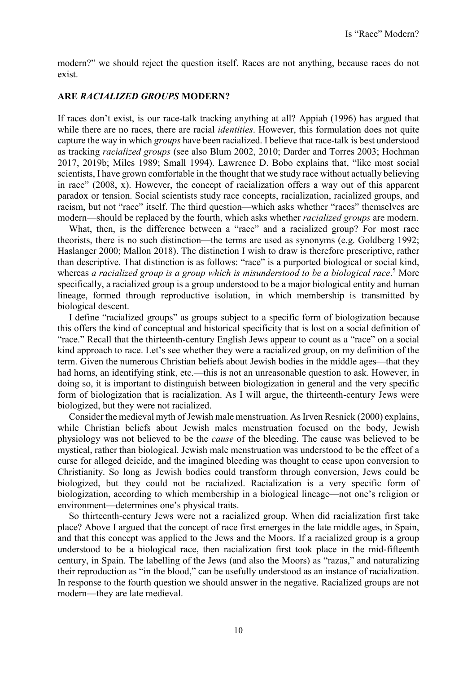modern?" we should reject the question itself. Races are not anything, because races do not exist.

## ARE RACIALIZED GROUPS MODERN?

If races don't exist, is our race-talk tracking anything at all? Appiah (1996) has argued that while there are no races, there are racial *identities*. However, this formulation does not quite capture the way in which groups have been racialized. I believe that race-talk is best understood as tracking racialized groups (see also Blum 2002, 2010; Darder and Torres 2003; Hochman 2017, 2019b; Miles 1989; Small 1994). Lawrence D. Bobo explains that, "like most social scientists, I have grown comfortable in the thought that we study race without actually believing in race" (2008, x). However, the concept of racialization offers a way out of this apparent paradox or tension. Social scientists study race concepts, racialization, racialized groups, and racism, but not "race" itself. The third question—which asks whether "races" themselves are modern—should be replaced by the fourth, which asks whether racialized groups are modern.

What, then, is the difference between a "race" and a racialized group? For most race theorists, there is no such distinction—the terms are used as synonyms (e.g. Goldberg 1992; Haslanger 2000; Mallon 2018). The distinction I wish to draw is therefore prescriptive, rather than descriptive. That distinction is as follows: "race" is a purported biological or social kind, whereas a racialized group is a group which is misunderstood to be a biological race.<sup>5</sup> More specifically, a racialized group is a group understood to be a major biological entity and human lineage, formed through reproductive isolation, in which membership is transmitted by biological descent.

I define "racialized groups" as groups subject to a specific form of biologization because this offers the kind of conceptual and historical specificity that is lost on a social definition of "race." Recall that the thirteenth-century English Jews appear to count as a "race" on a social kind approach to race. Let's see whether they were a racialized group, on my definition of the term. Given the numerous Christian beliefs about Jewish bodies in the middle ages—that they had horns, an identifying stink, etc.—this is not an unreasonable question to ask. However, in doing so, it is important to distinguish between biologization in general and the very specific form of biologization that is racialization. As I will argue, the thirteenth-century Jews were biologized, but they were not racialized.

Consider the medieval myth of Jewish male menstruation. As Irven Resnick (2000) explains, while Christian beliefs about Jewish males menstruation focused on the body, Jewish physiology was not believed to be the cause of the bleeding. The cause was believed to be mystical, rather than biological. Jewish male menstruation was understood to be the effect of a curse for alleged deicide, and the imagined bleeding was thought to cease upon conversion to Christianity. So long as Jewish bodies could transform through conversion, Jews could be biologized, but they could not be racialized. Racialization is a very specific form of biologization, according to which membership in a biological lineage—not one's religion or environment—determines one's physical traits.

So thirteenth-century Jews were not a racialized group. When did racialization first take place? Above I argued that the concept of race first emerges in the late middle ages, in Spain, and that this concept was applied to the Jews and the Moors. If a racialized group is a group understood to be a biological race, then racialization first took place in the mid-fifteenth century, in Spain. The labelling of the Jews (and also the Moors) as "razas," and naturalizing their reproduction as "in the blood," can be usefully understood as an instance of racialization. In response to the fourth question we should answer in the negative. Racialized groups are not modern—they are late medieval.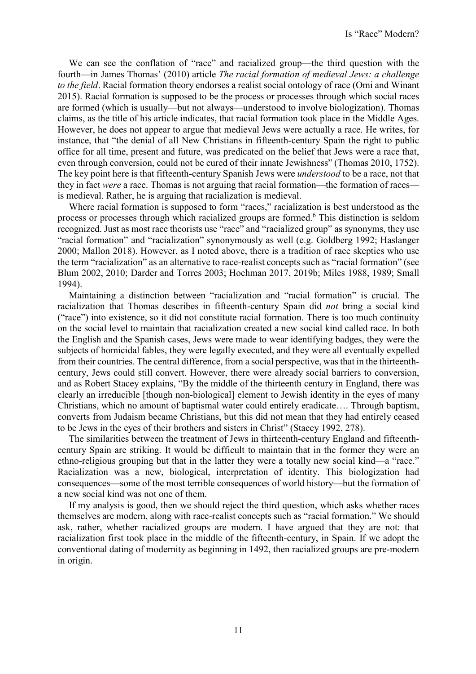We can see the conflation of "race" and racialized group—the third question with the fourth—in James Thomas' (2010) article The racial formation of medieval Jews: a challenge to the field. Racial formation theory endorses a realist social ontology of race (Omi and Winant 2015). Racial formation is supposed to be the process or processes through which social races are formed (which is usually—but not always—understood to involve biologization). Thomas claims, as the title of his article indicates, that racial formation took place in the Middle Ages. However, he does not appear to argue that medieval Jews were actually a race. He writes, for instance, that "the denial of all New Christians in fifteenth-century Spain the right to public office for all time, present and future, was predicated on the belief that Jews were a race that, even through conversion, could not be cured of their innate Jewishness" (Thomas 2010, 1752). The key point here is that fifteenth-century Spanish Jews were *understood* to be a race, not that they in fact were a race. Thomas is not arguing that racial formation—the formation of races is medieval. Rather, he is arguing that racialization is medieval.

Where racial formation is supposed to form "races," racialization is best understood as the process or processes through which racialized groups are formed.<sup>6</sup> This distinction is seldom recognized. Just as most race theorists use "race" and "racialized group" as synonyms, they use "racial formation" and "racialization" synonymously as well (e.g. Goldberg 1992; Haslanger 2000; Mallon 2018). However, as I noted above, there is a tradition of race skeptics who use the term "racialization" as an alternative to race-realist concepts such as "racial formation" (see Blum 2002, 2010; Darder and Torres 2003; Hochman 2017, 2019b; Miles 1988, 1989; Small 1994).

Maintaining a distinction between "racialization and "racial formation" is crucial. The racialization that Thomas describes in fifteenth-century Spain did not bring a social kind ("race") into existence, so it did not constitute racial formation. There is too much continuity on the social level to maintain that racialization created a new social kind called race. In both the English and the Spanish cases, Jews were made to wear identifying badges, they were the subjects of homicidal fables, they were legally executed, and they were all eventually expelled from their countries. The central difference, from a social perspective, was that in the thirteenthcentury, Jews could still convert. However, there were already social barriers to conversion, and as Robert Stacey explains, "By the middle of the thirteenth century in England, there was clearly an irreducible [though non-biological] element to Jewish identity in the eyes of many Christians, which no amount of baptismal water could entirely eradicate…. Through baptism, converts from Judaism became Christians, but this did not mean that they had entirely ceased to be Jews in the eyes of their brothers and sisters in Christ" (Stacey 1992, 278).

The similarities between the treatment of Jews in thirteenth-century England and fifteenthcentury Spain are striking. It would be difficult to maintain that in the former they were an ethno-religious grouping but that in the latter they were a totally new social kind—a "race." Racialization was a new, biological, interpretation of identity. This biologization had consequences—some of the most terrible consequences of world history—but the formation of a new social kind was not one of them.

If my analysis is good, then we should reject the third question, which asks whether races themselves are modern, along with race-realist concepts such as "racial formation." We should ask, rather, whether racialized groups are modern. I have argued that they are not: that racialization first took place in the middle of the fifteenth-century, in Spain. If we adopt the conventional dating of modernity as beginning in 1492, then racialized groups are pre-modern in origin.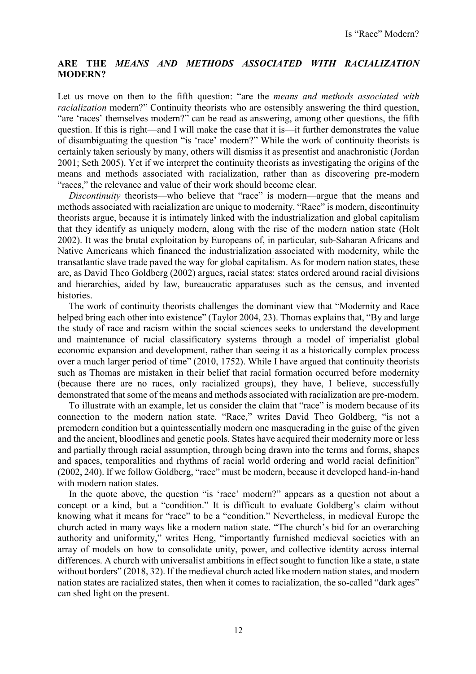## ARE THE MEANS AND METHODS ASSOCIATED WITH RACIALIZATION MODERN?

Let us move on then to the fifth question: "are the *means and methods associated with* racialization modern?" Continuity theorists who are ostensibly answering the third question, "are 'races' themselves modern?" can be read as answering, among other questions, the fifth question. If this is right—and I will make the case that it is—it further demonstrates the value of disambiguating the question "is 'race' modern?" While the work of continuity theorists is certainly taken seriously by many, others will dismiss it as presentist and anachronistic (Jordan 2001; Seth 2005). Yet if we interpret the continuity theorists as investigating the origins of the means and methods associated with racialization, rather than as discovering pre-modern "races," the relevance and value of their work should become clear.

Discontinuity theorists—who believe that "race" is modern—argue that the means and methods associated with racialization are unique to modernity. "Race" is modern, discontinuity theorists argue, because it is intimately linked with the industrialization and global capitalism that they identify as uniquely modern, along with the rise of the modern nation state (Holt 2002). It was the brutal exploitation by Europeans of, in particular, sub-Saharan Africans and Native Americans which financed the industrialization associated with modernity, while the transatlantic slave trade paved the way for global capitalism. As for modern nation states, these are, as David Theo Goldberg (2002) argues, racial states: states ordered around racial divisions and hierarchies, aided by law, bureaucratic apparatuses such as the census, and invented histories.

The work of continuity theorists challenges the dominant view that "Modernity and Race helped bring each other into existence" (Taylor 2004, 23). Thomas explains that, "By and large the study of race and racism within the social sciences seeks to understand the development and maintenance of racial classificatory systems through a model of imperialist global economic expansion and development, rather than seeing it as a historically complex process over a much larger period of time" (2010, 1752). While I have argued that continuity theorists such as Thomas are mistaken in their belief that racial formation occurred before modernity (because there are no races, only racialized groups), they have, I believe, successfully demonstrated that some of the means and methods associated with racialization are pre-modern.

To illustrate with an example, let us consider the claim that "race" is modern because of its connection to the modern nation state. "Race," writes David Theo Goldberg, "is not a premodern condition but a quintessentially modern one masquerading in the guise of the given and the ancient, bloodlines and genetic pools. States have acquired their modernity more or less and partially through racial assumption, through being drawn into the terms and forms, shapes and spaces, temporalities and rhythms of racial world ordering and world racial definition" (2002, 240). If we follow Goldberg, "race" must be modern, because it developed hand-in-hand with modern nation states.

In the quote above, the question "is 'race' modern?" appears as a question not about a concept or a kind, but a "condition." It is difficult to evaluate Goldberg's claim without knowing what it means for "race" to be a "condition." Nevertheless, in medieval Europe the church acted in many ways like a modern nation state. "The church's bid for an overarching authority and uniformity," writes Heng, "importantly furnished medieval societies with an array of models on how to consolidate unity, power, and collective identity across internal differences. A church with universalist ambitions in effect sought to function like a state, a state without borders" (2018, 32). If the medieval church acted like modern nation states, and modern nation states are racialized states, then when it comes to racialization, the so-called "dark ages" can shed light on the present.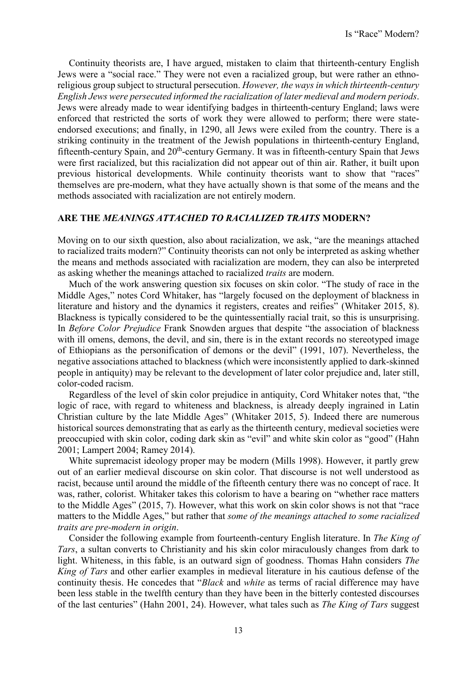Continuity theorists are, I have argued, mistaken to claim that thirteenth-century English Jews were a "social race." They were not even a racialized group, but were rather an ethnoreligious group subject to structural persecution. However, the ways in which thirteenth-century English Jews were persecuted informed the racialization of later medieval and modern periods. Jews were already made to wear identifying badges in thirteenth-century England; laws were enforced that restricted the sorts of work they were allowed to perform; there were stateendorsed executions; and finally, in 1290, all Jews were exiled from the country. There is a striking continuity in the treatment of the Jewish populations in thirteenth-century England, fifteenth-century Spain, and 20<sup>th</sup>-century Germany. It was in fifteenth-century Spain that Jews were first racialized, but this racialization did not appear out of thin air. Rather, it built upon previous historical developments. While continuity theorists want to show that "races" themselves are pre-modern, what they have actually shown is that some of the means and the methods associated with racialization are not entirely modern.

#### ARE THE MEANINGS ATTACHED TO RACIALIZED TRAITS MODERN?

Moving on to our sixth question, also about racialization, we ask, "are the meanings attached to racialized traits modern?" Continuity theorists can not only be interpreted as asking whether the means and methods associated with racialization are modern, they can also be interpreted as asking whether the meanings attached to racialized traits are modern.

Much of the work answering question six focuses on skin color. "The study of race in the Middle Ages," notes Cord Whitaker, has "largely focused on the deployment of blackness in literature and history and the dynamics it registers, creates and reifies" (Whitaker 2015, 8). Blackness is typically considered to be the quintessentially racial trait, so this is unsurprising. In Before Color Prejudice Frank Snowden argues that despite "the association of blackness with ill omens, demons, the devil, and sin, there is in the extant records no stereotyped image of Ethiopians as the personification of demons or the devil" (1991, 107). Nevertheless, the negative associations attached to blackness (which were inconsistently applied to dark-skinned people in antiquity) may be relevant to the development of later color prejudice and, later still, color-coded racism.

Regardless of the level of skin color prejudice in antiquity, Cord Whitaker notes that, "the logic of race, with regard to whiteness and blackness, is already deeply ingrained in Latin Christian culture by the late Middle Ages" (Whitaker 2015, 5). Indeed there are numerous historical sources demonstrating that as early as the thirteenth century, medieval societies were preoccupied with skin color, coding dark skin as "evil" and white skin color as "good" (Hahn 2001; Lampert 2004; Ramey 2014).

White supremacist ideology proper may be modern (Mills 1998). However, it partly grew out of an earlier medieval discourse on skin color. That discourse is not well understood as racist, because until around the middle of the fifteenth century there was no concept of race. It was, rather, colorist. Whitaker takes this colorism to have a bearing on "whether race matters to the Middle Ages" (2015, 7). However, what this work on skin color shows is not that "race matters to the Middle Ages," but rather that some of the meanings attached to some racialized traits are pre-modern in origin.

Consider the following example from fourteenth-century English literature. In The King of Tars, a sultan converts to Christianity and his skin color miraculously changes from dark to light. Whiteness, in this fable, is an outward sign of goodness. Thomas Hahn considers The King of Tars and other earlier examples in medieval literature in his cautious defense of the continuity thesis. He concedes that "Black and white as terms of racial difference may have been less stable in the twelfth century than they have been in the bitterly contested discourses of the last centuries" (Hahn 2001, 24). However, what tales such as The King of Tars suggest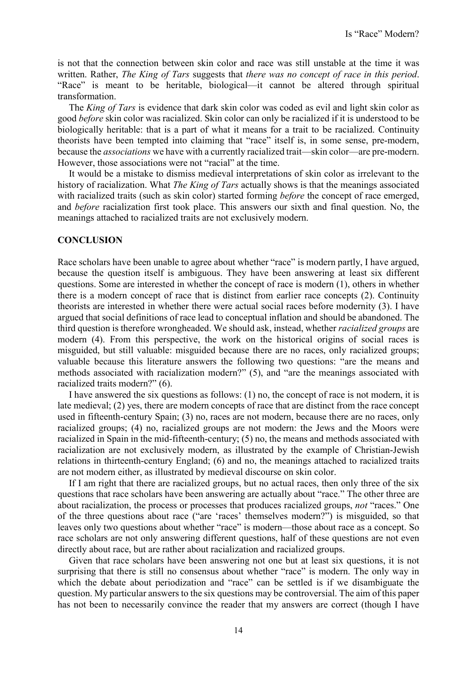is not that the connection between skin color and race was still unstable at the time it was written. Rather, The King of Tars suggests that there was no concept of race in this period. "Race" is meant to be heritable, biological—it cannot be altered through spiritual transformation.

The *King of Tars* is evidence that dark skin color was coded as evil and light skin color as good before skin color was racialized. Skin color can only be racialized if it is understood to be biologically heritable: that is a part of what it means for a trait to be racialized. Continuity theorists have been tempted into claiming that "race" itself is, in some sense, pre-modern, because the associations we have with a currently racialized trait—skin color—are pre-modern. However, those associations were not "racial" at the time.

It would be a mistake to dismiss medieval interpretations of skin color as irrelevant to the history of racialization. What The King of Tars actually shows is that the meanings associated with racialized traits (such as skin color) started forming *before* the concept of race emerged, and before racialization first took place. This answers our sixth and final question. No, the meanings attached to racialized traits are not exclusively modern.

#### **CONCLUSION**

Race scholars have been unable to agree about whether "race" is modern partly, I have argued, because the question itself is ambiguous. They have been answering at least six different questions. Some are interested in whether the concept of race is modern (1), others in whether there is a modern concept of race that is distinct from earlier race concepts (2). Continuity theorists are interested in whether there were actual social races before modernity (3). I have argued that social definitions of race lead to conceptual inflation and should be abandoned. The third question is therefore wrongheaded. We should ask, instead, whether *racialized groups* are modern (4). From this perspective, the work on the historical origins of social races is misguided, but still valuable: misguided because there are no races, only racialized groups; valuable because this literature answers the following two questions: "are the means and methods associated with racialization modern?" (5), and "are the meanings associated with racialized traits modern?" (6).

I have answered the six questions as follows: (1) no, the concept of race is not modern, it is late medieval; (2) yes, there are modern concepts of race that are distinct from the race concept used in fifteenth-century Spain; (3) no, races are not modern, because there are no races, only racialized groups; (4) no, racialized groups are not modern: the Jews and the Moors were racialized in Spain in the mid-fifteenth-century; (5) no, the means and methods associated with racialization are not exclusively modern, as illustrated by the example of Christian-Jewish relations in thirteenth-century England; (6) and no, the meanings attached to racialized traits are not modern either, as illustrated by medieval discourse on skin color.

If I am right that there are racialized groups, but no actual races, then only three of the six questions that race scholars have been answering are actually about "race." The other three are about racialization, the process or processes that produces racialized groups, not "races." One of the three questions about race ("are 'races' themselves modern?") is misguided, so that leaves only two questions about whether "race" is modern—those about race as a concept. So race scholars are not only answering different questions, half of these questions are not even directly about race, but are rather about racialization and racialized groups.

Given that race scholars have been answering not one but at least six questions, it is not surprising that there is still no consensus about whether "race" is modern. The only way in which the debate about periodization and "race" can be settled is if we disambiguate the question. My particular answers to the six questions may be controversial. The aim of this paper has not been to necessarily convince the reader that my answers are correct (though I have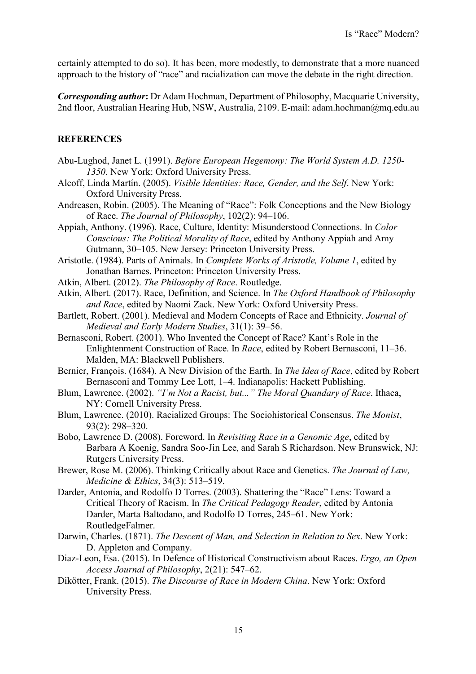certainly attempted to do so). It has been, more modestly, to demonstrate that a more nuanced approach to the history of "race" and racialization can move the debate in the right direction.

Corresponding author: Dr Adam Hochman, Department of Philosophy, Macquarie University, 2nd floor, Australian Hearing Hub, NSW, Australia, 2109. E-mail: adam.hochman@mq.edu.au

# **REFERENCES**

- Abu-Lughod, Janet L. (1991). Before European Hegemony: The World System A.D. 1250- 1350. New York: Oxford University Press.
- Alcoff, Linda Martín. (2005). Visible Identities: Race, Gender, and the Self. New York: Oxford University Press.
- Andreasen, Robin. (2005). The Meaning of "Race": Folk Conceptions and the New Biology of Race. The Journal of Philosophy, 102(2): 94–106.
- Appiah, Anthony. (1996). Race, Culture, Identity: Misunderstood Connections. In Color Conscious: The Political Morality of Race, edited by Anthony Appiah and Amy Gutmann, 30–105. New Jersey: Princeton University Press.

Aristotle. (1984). Parts of Animals. In Complete Works of Aristotle, Volume 1, edited by Jonathan Barnes. Princeton: Princeton University Press.

- Atkin, Albert. (2012). The Philosophy of Race. Routledge.
- Atkin, Albert. (2017). Race, Definition, and Science. In The Oxford Handbook of Philosophy and Race, edited by Naomi Zack. New York: Oxford University Press.
- Bartlett, Robert. (2001). Medieval and Modern Concepts of Race and Ethnicity. Journal of Medieval and Early Modern Studies, 31(1): 39–56.
- Bernasconi, Robert. (2001). Who Invented the Concept of Race? Kant's Role in the Enlightenment Construction of Race. In Race, edited by Robert Bernasconi, 11–36. Malden, MA: Blackwell Publishers.

Bernier, François. (1684). A New Division of the Earth. In The Idea of Race, edited by Robert Bernasconi and Tommy Lee Lott, 1–4. Indianapolis: Hackett Publishing.

- Blum, Lawrence. (2002). "I'm Not a Racist, but..." The Moral Quandary of Race. Ithaca, NY: Cornell University Press.
- Blum, Lawrence. (2010). Racialized Groups: The Sociohistorical Consensus. The Monist, 93(2): 298–320.
- Bobo, Lawrence D. (2008). Foreword. In Revisiting Race in a Genomic Age, edited by Barbara A Koenig, Sandra Soo-Jin Lee, and Sarah S Richardson. New Brunswick, NJ: Rutgers University Press.
- Brewer, Rose M. (2006). Thinking Critically about Race and Genetics. The Journal of Law, Medicine & Ethics, 34(3): 513–519.
- Darder, Antonia, and Rodolfo D Torres. (2003). Shattering the "Race" Lens: Toward a Critical Theory of Racism. In The Critical Pedagogy Reader, edited by Antonia Darder, Marta Baltodano, and Rodolfo D Torres, 245–61. New York: RoutledgeFalmer.
- Darwin, Charles. (1871). The Descent of Man, and Selection in Relation to Sex. New York: D. Appleton and Company.
- Diaz-Leon, Esa. (2015). In Defence of Historical Constructivism about Races. Ergo, an Open Access Journal of Philosophy, 2(21): 547–62.
- Dikötter, Frank. (2015). The Discourse of Race in Modern China. New York: Oxford University Press.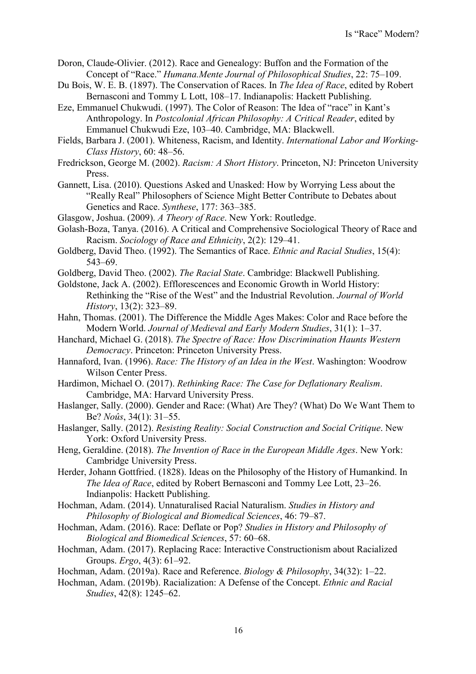- Doron, Claude-Olivier. (2012). Race and Genealogy: Buffon and the Formation of the Concept of "Race." Humana.Mente Journal of Philosophical Studies, 22: 75–109.
- Du Bois, W. E. B. (1897). The Conservation of Races. In The Idea of Race, edited by Robert Bernasconi and Tommy L Lott, 108–17. Indianapolis: Hackett Publishing.
- Eze, Emmanuel Chukwudi. (1997). The Color of Reason: The Idea of "race" in Kant's Anthropology. In Postcolonial African Philosophy: A Critical Reader, edited by Emmanuel Chukwudi Eze, 103–40. Cambridge, MA: Blackwell.
- Fields, Barbara J. (2001). Whiteness, Racism, and Identity. International Labor and Working-Class History, 60: 48–56.
- Fredrickson, George M. (2002). Racism: A Short History. Princeton, NJ: Princeton University Press.
- Gannett, Lisa. (2010). Questions Asked and Unasked: How by Worrying Less about the "Really Real" Philosophers of Science Might Better Contribute to Debates about Genetics and Race. Synthese, 177: 363–385.
- Glasgow, Joshua. (2009). A Theory of Race. New York: Routledge.
- Golash-Boza, Tanya. (2016). A Critical and Comprehensive Sociological Theory of Race and Racism. Sociology of Race and Ethnicity, 2(2): 129–41.
- Goldberg, David Theo. (1992). The Semantics of Race. Ethnic and Racial Studies, 15(4): 543–69.
- Goldberg, David Theo. (2002). The Racial State. Cambridge: Blackwell Publishing.
- Goldstone, Jack A. (2002). Efflorescences and Economic Growth in World History: Rethinking the "Rise of the West" and the Industrial Revolution. Journal of World History, 13(2): 323–89.
- Hahn, Thomas. (2001). The Difference the Middle Ages Makes: Color and Race before the Modern World. Journal of Medieval and Early Modern Studies, 31(1): 1–37.
- Hanchard, Michael G. (2018). The Spectre of Race: How Discrimination Haunts Western Democracy. Princeton: Princeton University Press.
- Hannaford, Ivan. (1996). Race: The History of an Idea in the West. Washington: Woodrow Wilson Center Press.
- Hardimon, Michael O. (2017). Rethinking Race: The Case for Deflationary Realism. Cambridge, MA: Harvard University Press.
- Haslanger, Sally. (2000). Gender and Race: (What) Are They? (What) Do We Want Them to Be? Noûs, 34(1): 31–55.
- Haslanger, Sally. (2012). Resisting Reality: Social Construction and Social Critique. New York: Oxford University Press.
- Heng, Geraldine. (2018). The Invention of Race in the European Middle Ages. New York: Cambridge University Press.
- Herder, Johann Gottfried. (1828). Ideas on the Philosophy of the History of Humankind. In The Idea of Race, edited by Robert Bernasconi and Tommy Lee Lott, 23–26. Indianpolis: Hackett Publishing.
- Hochman, Adam. (2014). Unnaturalised Racial Naturalism. Studies in History and Philosophy of Biological and Biomedical Sciences, 46: 79–87.
- Hochman, Adam. (2016). Race: Deflate or Pop? Studies in History and Philosophy of Biological and Biomedical Sciences, 57: 60–68.
- Hochman, Adam. (2017). Replacing Race: Interactive Constructionism about Racialized Groups. Ergo, 4(3): 61–92.
- Hochman, Adam. (2019a). Race and Reference. Biology & Philosophy, 34(32): 1–22.
- Hochman, Adam. (2019b). Racialization: A Defense of the Concept. Ethnic and Racial Studies, 42(8): 1245–62.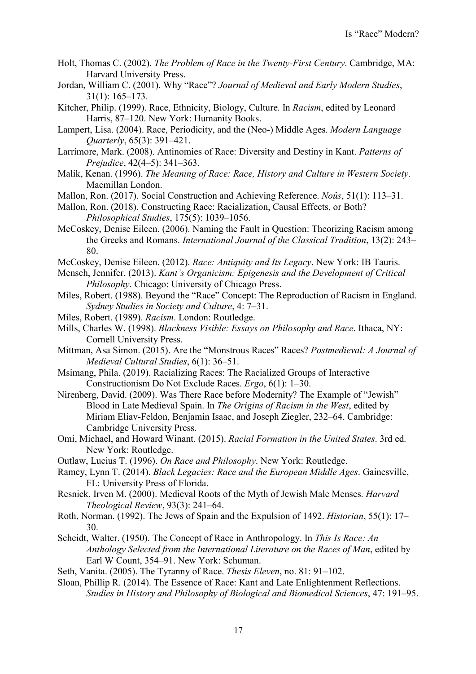- Holt, Thomas C. (2002). The Problem of Race in the Twenty-First Century. Cambridge, MA: Harvard University Press.
- Jordan, William C. (2001). Why "Race"? Journal of Medieval and Early Modern Studies, 31(1): 165–173.
- Kitcher, Philip. (1999). Race, Ethnicity, Biology, Culture. In Racism, edited by Leonard Harris, 87–120. New York: Humanity Books.
- Lampert, Lisa. (2004). Race, Periodicity, and the (Neo-) Middle Ages. Modern Language Quarterly, 65(3): 391–421.
- Larrimore, Mark. (2008). Antinomies of Race: Diversity and Destiny in Kant. Patterns of Prejudice, 42(4–5): 341–363.
- Malik, Kenan. (1996). The Meaning of Race: Race, History and Culture in Western Society. Macmillan London.
- Mallon, Ron. (2017). Social Construction and Achieving Reference. Noûs, 51(1): 113–31.
- Mallon, Ron. (2018). Constructing Race: Racialization, Causal Effects, or Both? Philosophical Studies, 175(5): 1039–1056.
- McCoskey, Denise Eileen. (2006). Naming the Fault in Question: Theorizing Racism among the Greeks and Romans. International Journal of the Classical Tradition, 13(2): 243– 80.
- McCoskey, Denise Eileen. (2012). Race: Antiquity and Its Legacy. New York: IB Tauris.
- Mensch, Jennifer. (2013). Kant's Organicism: Epigenesis and the Development of Critical Philosophy. Chicago: University of Chicago Press.
- Miles, Robert. (1988). Beyond the "Race" Concept: The Reproduction of Racism in England. Sydney Studies in Society and Culture, 4: 7–31.
- Miles, Robert. (1989). Racism. London: Routledge.
- Mills, Charles W. (1998). Blackness Visible: Essays on Philosophy and Race. Ithaca, NY: Cornell University Press.
- Mittman, Asa Simon. (2015). Are the "Monstrous Races" Races? Postmedieval: A Journal of Medieval Cultural Studies, 6(1): 36–51.
- Msimang, Phila. (2019). Racializing Races: The Racialized Groups of Interactive Constructionism Do Not Exclude Races. Ergo, 6(1): 1–30.
- Nirenberg, David. (2009). Was There Race before Modernity? The Example of "Jewish" Blood in Late Medieval Spain. In The Origins of Racism in the West, edited by Miriam Eliav-Feldon, Benjamin Isaac, and Joseph Ziegler, 232–64. Cambridge: Cambridge University Press.
- Omi, Michael, and Howard Winant. (2015). Racial Formation in the United States. 3rd ed. New York: Routledge.
- Outlaw, Lucius T. (1996). On Race and Philosophy. New York: Routledge.
- Ramey, Lynn T. (2014). Black Legacies: Race and the European Middle Ages. Gainesville, FL: University Press of Florida.
- Resnick, Irven M. (2000). Medieval Roots of the Myth of Jewish Male Menses. Harvard Theological Review, 93(3): 241–64.
- Roth, Norman. (1992). The Jews of Spain and the Expulsion of 1492. Historian, 55(1): 17– 30.
- Scheidt, Walter. (1950). The Concept of Race in Anthropology. In This Is Race: An Anthology Selected from the International Literature on the Races of Man, edited by Earl W Count, 354–91. New York: Schuman.
- Seth, Vanita. (2005). The Tyranny of Race. Thesis Eleven, no. 81: 91–102.
- Sloan, Phillip R. (2014). The Essence of Race: Kant and Late Enlightenment Reflections. Studies in History and Philosophy of Biological and Biomedical Sciences, 47: 191–95.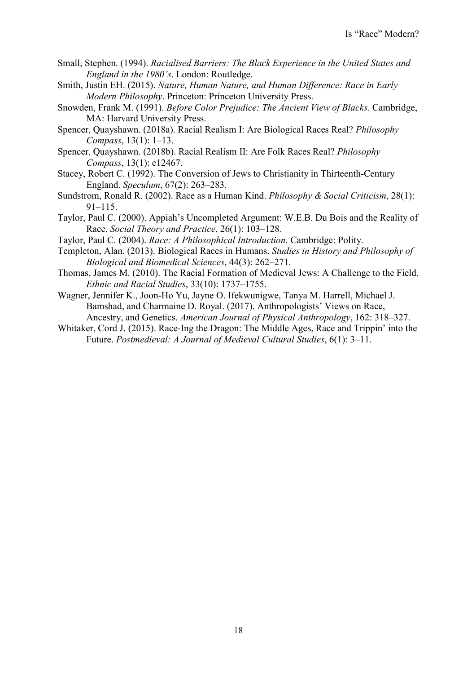- Small, Stephen. (1994). Racialised Barriers: The Black Experience in the United States and England in the 1980's. London: Routledge.
- Smith, Justin EH. (2015). Nature, Human Nature, and Human Difference: Race in Early Modern Philosophy. Princeton: Princeton University Press.
- Snowden, Frank M. (1991). Before Color Prejudice: The Ancient View of Blacks. Cambridge, MA: Harvard University Press.
- Spencer, Quayshawn. (2018a). Racial Realism I: Are Biological Races Real? Philosophy Compass, 13(1): 1–13.
- Spencer, Quayshawn. (2018b). Racial Realism II: Are Folk Races Real? Philosophy Compass, 13(1): e12467.
- Stacey, Robert C. (1992). The Conversion of Jews to Christianity in Thirteenth-Century England. Speculum, 67(2): 263–283.
- Sundstrom, Ronald R. (2002). Race as a Human Kind. Philosophy & Social Criticism, 28(1): 91–115.
- Taylor, Paul C. (2000). Appiah's Uncompleted Argument: W.E.B. Du Bois and the Reality of Race. Social Theory and Practice, 26(1): 103–128.
- Taylor, Paul C. (2004). Race: A Philosophical Introduction. Cambridge: Polity.
- Templeton, Alan. (2013). Biological Races in Humans. Studies in History and Philosophy of Biological and Biomedical Sciences, 44(3): 262–271.
- Thomas, James M. (2010). The Racial Formation of Medieval Jews: A Challenge to the Field. Ethnic and Racial Studies, 33(10): 1737–1755.
- Wagner, Jennifer K., Joon-Ho Yu, Jayne O. Ifekwunigwe, Tanya M. Harrell, Michael J. Bamshad, and Charmaine D. Royal. (2017). Anthropologists' Views on Race, Ancestry, and Genetics. American Journal of Physical Anthropology, 162: 318–327.
- Whitaker, Cord J. (2015). Race-Ing the Dragon: The Middle Ages, Race and Trippin' into the Future. Postmedieval: A Journal of Medieval Cultural Studies, 6(1): 3–11.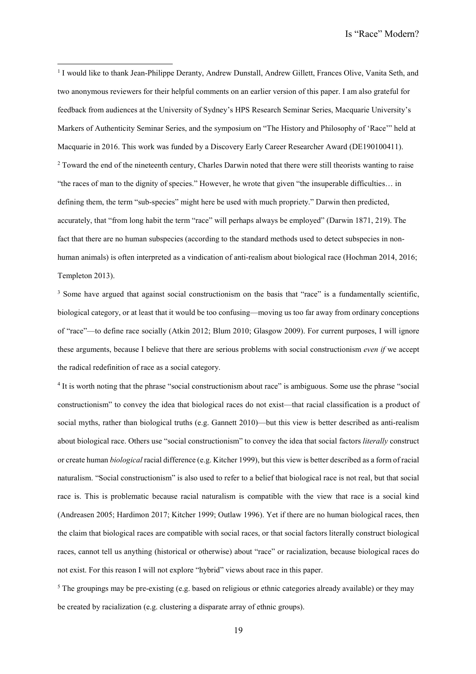Is "Race" Modern?

<sup>1</sup> I would like to thank Jean-Philippe Deranty, Andrew Dunstall, Andrew Gillett, Frances Olive, Vanita Seth, and two anonymous reviewers for their helpful comments on an earlier version of this paper. I am also grateful for feedback from audiences at the University of Sydney's HPS Research Seminar Series, Macquarie University's Markers of Authenticity Seminar Series, and the symposium on "The History and Philosophy of 'Race'" held at Macquarie in 2016. This work was funded by a Discovery Early Career Researcher Award (DE190100411).  $2$  Toward the end of the nineteenth century, Charles Darwin noted that there were still theorists wanting to raise "the races of man to the dignity of species." However, he wrote that given "the insuperable difficulties… in defining them, the term "sub-species" might here be used with much propriety." Darwin then predicted, accurately, that "from long habit the term "race" will perhaps always be employed" (Darwin 1871, 219). The fact that there are no human subspecies (according to the standard methods used to detect subspecies in nonhuman animals) is often interpreted as a vindication of anti-realism about biological race (Hochman 2014, 2016; Templeton 2013).

<u>.</u>

<sup>3</sup> Some have argued that against social constructionism on the basis that "race" is a fundamentally scientific, biological category, or at least that it would be too confusing—moving us too far away from ordinary conceptions of "race"—to define race socially (Atkin 2012; Blum 2010; Glasgow 2009). For current purposes, I will ignore these arguments, because I believe that there are serious problems with social constructionism *even if* we accept the radical redefinition of race as a social category.

4 It is worth noting that the phrase "social constructionism about race" is ambiguous. Some use the phrase "social constructionism" to convey the idea that biological races do not exist—that racial classification is a product of social myths, rather than biological truths (e.g. Gannett 2010)—but this view is better described as anti-realism about biological race. Others use "social constructionism" to convey the idea that social factors literally construct or create human biological racial difference (e.g. Kitcher 1999), but this view is better described as a form of racial naturalism. "Social constructionism" is also used to refer to a belief that biological race is not real, but that social race is. This is problematic because racial naturalism is compatible with the view that race is a social kind (Andreasen 2005; Hardimon 2017; Kitcher 1999; Outlaw 1996). Yet if there are no human biological races, then the claim that biological races are compatible with social races, or that social factors literally construct biological races, cannot tell us anything (historical or otherwise) about "race" or racialization, because biological races do not exist. For this reason I will not explore "hybrid" views about race in this paper.

<sup>5</sup> The groupings may be pre-existing (e.g. based on religious or ethnic categories already available) or they may be created by racialization (e.g. clustering a disparate array of ethnic groups).